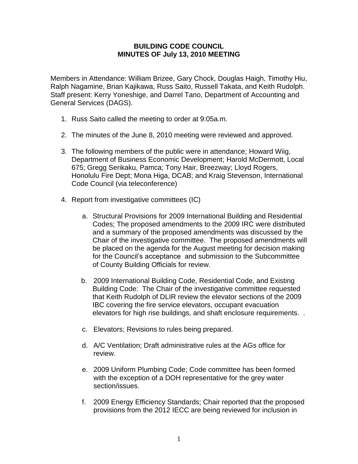## **BUILDING CODE COUNCIL MINUTES OF July 13, 2010 MEETING**

Members in Attendance: William Brizee, Gary Chock, Douglas Haigh, Timothy Hiu, Ralph Nagamine, Brian Kajikawa, Russ Saito, Russell Takata, and Keith Rudolph. Staff present: Kerry Yoneshige, and Darrel Tano, Department of Accounting and General Services (DAGS).

- 1. Russ Saito called the meeting to order at 9:05a.m.
- 2. The minutes of the June 8, 2010 meeting were reviewed and approved.
- 3. The following members of the public were in attendance; Howard Wiig, Department of Business Economic Development; Harold McDermott, Local 675; Gregg Serikaku, Pamca; Tony Hair, Breezway; Lloyd Rogers, Honolulu Fire Dept; Mona Higa, DCAB; and Kraig Stevenson, International Code Council (via teleconference)
- 4. Report from investigative committees (IC)
	- a. Structural Provisions for 2009 International Building and Residential Codes; The proposed amendments to the 2009 IRC were distributed and a summary of the proposed amendments was discussed by the Chair of the investigative committee. The proposed amendments will be placed on the agenda for the August meeting for decision making for the Council's acceptance and submission to the Subcommittee of County Building Officials for review.
	- b. 2009 International Building Code, Residential Code, and Existing Building Code: The Chair of the investigative committee requested that Keith Rudolph of DLIR review the elevator sections of the 2009 IBC covering the fire service elevators, occupant evacuation elevators for high rise buildings, and shaft enclosure requirements. .
	- c. Elevators; Revisions to rules being prepared.
	- d. A/C Ventilation; Draft administrative rules at the AGs office for review.
	- e. 2009 Uniform Plumbing Code; Code committee has been formed with the exception of a DOH representative for the grey water section/issues.
	- f. 2009 Energy Efficiency Standards; Chair reported that the proposed provisions from the 2012 IECC are being reviewed for inclusion in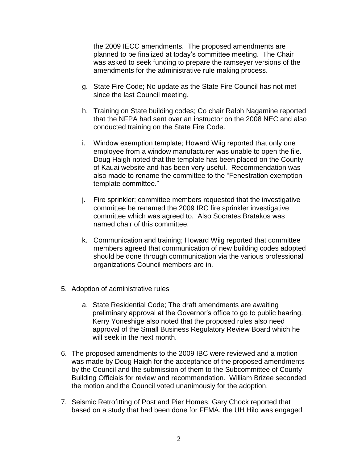the 2009 IECC amendments. The proposed amendments are planned to be finalized at today's committee meeting. The Chair was asked to seek funding to prepare the ramseyer versions of the amendments for the administrative rule making process.

- g. State Fire Code; No update as the State Fire Council has not met since the last Council meeting.
- h. Training on State building codes; Co chair Ralph Nagamine reported that the NFPA had sent over an instructor on the 2008 NEC and also conducted training on the State Fire Code.
- i. Window exemption template; Howard Wiig reported that only one employee from a window manufacturer was unable to open the file. Doug Haigh noted that the template has been placed on the County of Kauai website and has been very useful. Recommendation was also made to rename the committee to the "Fenestration exemption template committee."
- j. Fire sprinkler; committee members requested that the investigative committee be renamed the 2009 IRC fire sprinkler investigative committee which was agreed to. Also Socrates Bratakos was named chair of this committee.
- k. Communication and training; Howard Wiig reported that committee members agreed that communication of new building codes adopted should be done through communication via the various professional organizations Council members are in.
- 5. Adoption of administrative rules
	- a. State Residential Code; The draft amendments are awaiting preliminary approval at the Governor's office to go to public hearing. Kerry Yoneshige also noted that the proposed rules also need approval of the Small Business Regulatory Review Board which he will seek in the next month.
- 6. The proposed amendments to the 2009 IBC were reviewed and a motion was made by Doug Haigh for the acceptance of the proposed amendments by the Council and the submission of them to the Subcommittee of County Building Officials for review and recommendation. William Brizee seconded the motion and the Council voted unanimously for the adoption.
- 7. Seismic Retrofitting of Post and Pier Homes; Gary Chock reported that based on a study that had been done for FEMA, the UH Hilo was engaged